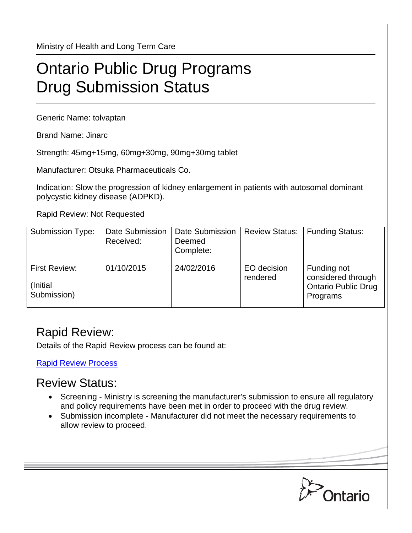Ministry of Health and Long Term Care

## Ontario Public Drug Programs Drug Submission Status

Generic Name: tolvaptan

Brand Name: Jinarc

Strength: 45mg+15mg, 60mg+30mg, 90mg+30mg tablet

Manufacturer: Otsuka Pharmaceuticals Co.

Indication: Slow the progression of kidney enlargement in patients with autosomal dominant polycystic kidney disease (ADPKD).

Rapid Review: Not Requested

| <b>Submission Type:</b>                   | Date Submission<br>Received: | Date Submission<br>Deemed<br>Complete: | <b>Review Status:</b>   | <b>Funding Status:</b>                                                      |
|-------------------------------------------|------------------------------|----------------------------------------|-------------------------|-----------------------------------------------------------------------------|
| First Review:<br>(Initial)<br>Submission) | 01/10/2015                   | 24/02/2016                             | EO decision<br>rendered | Funding not<br>considered through<br><b>Ontario Public Drug</b><br>Programs |

## Rapid Review:

Details of the Rapid Review process can be found at:

[Rapid Review Process](http://www.health.gov.on.ca/en/pro/programs/drugs/drug_submissions/rapid_review_process.aspx)

## Review Status:

- Screening Ministry is screening the manufacturer's submission to ensure all regulatory and policy requirements have been met in order to proceed with the drug review.
- Submission incomplete Manufacturer did not meet the necessary requirements to allow review to proceed.